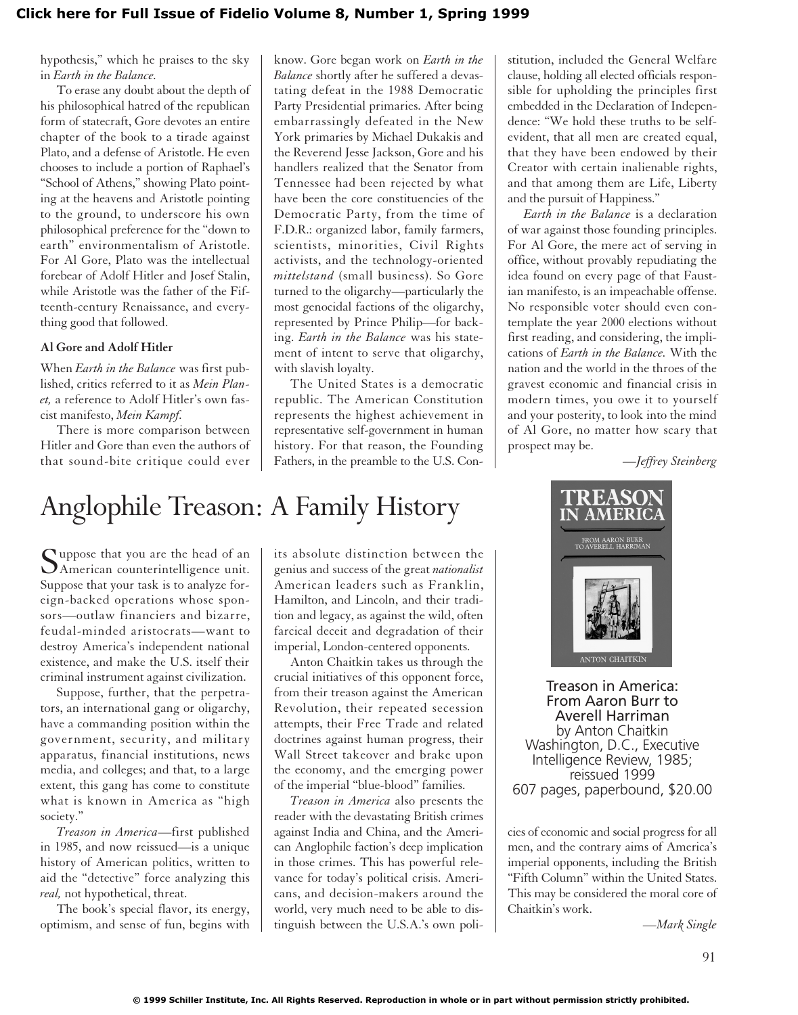## **[Click here for Full Issue of Fidelio Volume 8, Number 1, Spring 1999](http://schillerinstitute.org/fidelio_archive/1999/fidv08n01-1999Sp/index.html)**

hypothesis," which he praises to the sky in *Earth in the Balance.*

To erase any doubt about the depth of his philosophical hatred of the republican form of statecraft, Gore devotes an entire chapter of the book to a tirade against Plato, and a defense of Aristotle. He even chooses to include a portion of Raphael's "School of Athens," showing Plato pointing at the heavens and Aristotle pointing to the ground, to underscore his own philosophical preference for the "down to earth" environmentalism of Aristotle. For Al Gore, Plato was the intellectual forebear of Adolf Hitler and Josef Stalin, while Aristotle was the father of the Fifteenth-century Renaissance, and everything good that followed.

## **Al Gore and Adolf Hitler**

When *Earth in the Balance* was first published, critics referred to it as *Mein Planet,* a reference to Adolf Hitler's own fascist manifesto, *Mein Kampf.*

There is more comparison between Hitler and Gore than even the authors of that sound-bite critique could ever know. Gore began work on *Earth in the Balance* shortly after he suffered a devastating defeat in the 1988 Democratic Party Presidential primaries. After being embarrassingly defeated in the New York primaries by Michael Dukakis and the Reverend Jesse Jackson, Gore and his handlers realized that the Senator from Tennessee had been rejected by what have been the core constituencies of the Democratic Party, from the time of F.D.R.: organized labor, family farmers, scientists, minorities, Civil Rights activists, and the technology-oriented *mittelstand* (small business). So Gore turned to the oligarchy—particularly the most genocidal factions of the oligarchy, represented by Prince Philip—for backing. *Earth in the Balance* was his statement of intent to serve that oligarchy, with slavish loyalty.

The United States is a democratic republic. The American Constitution represents the highest achievement in representative self-government in human history. For that reason, the Founding Fathers, in the preamble to the U.S. Con-

## Anglophile Treason: A Family History

Suppose that you are the head of an<br>American counterintelligence unit. Suppose that your task is to analyze foreign-backed operations whose sponsors—outlaw financiers and bizarre, feudal-minded aristocrats—want to destroy America's independent national existence, and make the U.S. itself their criminal instrument against civilization.

Suppose, further, that the perpetrators, an international gang or oligarchy, have a commanding position within the government, security, and military apparatus, financial institutions, news media, and colleges; and that, to a large extent, this gang has come to constitute what is known in America as "high society."

*Treason in America*—first published in 1985, and now reissued—is a unique history of American politics, written to aid the "detective" force analyzing this *real,* not hypothetical, threat.

The book's special flavor, its energy, optimism, and sense of fun, begins with its absolute distinction between the genius and success of the great *nationalist* American leaders such as Franklin, Hamilton, and Lincoln, and their tradition and legacy, as against the wild, often farcical deceit and degradation of their imperial, London-centered opponents.

Anton Chaitkin takes us through the crucial initiatives of this opponent force, from their treason against the American Revolution, their repeated secession attempts, their Free Trade and related doctrines against human progress, their Wall Street takeover and brake upon the economy, and the emerging power of the imperial "blue-blood" families.

*Treason in America* also presents the reader with the devastating British crimes against India and China, and the American Anglophile faction's deep implication in those crimes. This has powerful relevance for today's political crisis. Americans, and decision-makers around the world, very much need to be able to distinguish between the U.S.A.'s own polistitution, included the General Welfare clause, holding all elected officials responsible for upholding the principles first embedded in the Declaration of Independence: "We hold these truths to be selfevident, that all men are created equal, that they have been endowed by their Creator with certain inalienable rights, and that among them are Life, Liberty and the pursuit of Happiness."

*Earth in the Balance* is a declaration of war against those founding principles. For Al Gore, the mere act of serving in office, without provably repudiating the idea found on every page of that Faustian manifesto, is an impeachable offense. No responsible voter should even contemplate the year 2000 elections without first reading, and considering, the implications of *Earth in the Balance.* With the nation and the world in the throes of the gravest economic and financial crisis in modern times, you owe it to yourself and your posterity, to look into the mind of Al Gore, no matter how scary that prospect may be.

*—Jeffrey Steinberg*



Treason in America: From Aaron Burr to Averell Harriman by Anton Chaitkin Washington, D.C., Executive Intelligence Review, 1985; reissued 1999 607 pages, paperbound, \$20.00

cies of economic and social progress for all men, and the contrary aims of America's imperial opponents, including the British "Fifth Column" within the United States. This may be considered the moral core of Chaitkin's work.

*—Mark Single*